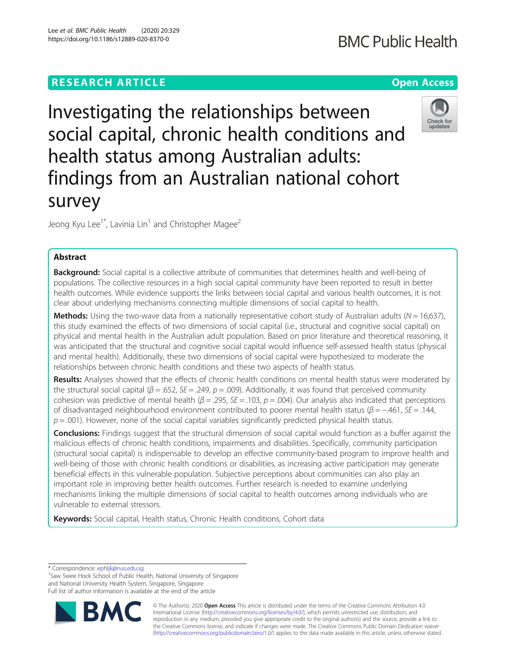# **RESEARCH ARTICLE Example 2014 12:30 The Contract of Contract ACCESS**

Investigating the relationships between social capital, chronic health conditions and health status among Australian adults: findings from an Australian national cohort survey

Jeong Kyu Lee<sup>1\*</sup>, Lavinia Lin<sup>1</sup> and Christopher Magee<sup>2</sup>

## Abstract

Background: Social capital is a collective attribute of communities that determines health and well-being of populations. The collective resources in a high social capital community have been reported to result in better health outcomes. While evidence supports the links between social capital and various health outcomes, it is not clear about underlying mechanisms connecting multiple dimensions of social capital to health.

**Methods:** Using the two-wave data from a nationally representative cohort study of Australian adults ( $N = 16,637$ ), this study examined the effects of two dimensions of social capital (i.e., structural and cognitive social capital) on physical and mental health in the Australian adult population. Based on prior literature and theoretical reasoning, it was anticipated that the structural and cognitive social capital would influence self-assessed health status (physical and mental health). Additionally, these two dimensions of social capital were hypothesized to moderate the relationships between chronic health conditions and these two aspects of health status.

Results: Analyses showed that the effects of chronic health conditions on mental health status were moderated by the structural social capital ( $\beta$  = .652, SE = .249, p = .009). Additionally, it was found that perceived community cohesion was predictive of mental health ( $\beta$  = .295,  $SE$  = .103,  $p$  = .004). Our analysis also indicated that perceptions of disadvantaged neighbourhood environment contributed to poorer mental health status ( $\beta = -.461$ , SE = .144,  $p = .001$ ). However, none of the social capital variables significantly predicted physical health status.

Conclusions: Findings suggest that the structural dimension of social capital would function as a buffer against the malicious effects of chronic health conditions, impairments and disabilities. Specifically, community participation (structural social capital) is indispensable to develop an effective community-based program to improve health and well-being of those with chronic health conditions or disabilities, as increasing active participation may generate beneficial effects in this vulnerable population. Subjective perceptions about communities can also play an important role in improving better health outcomes. Further research is needed to examine underlying mechanisms linking the multiple dimensions of social capital to health outcomes among individuals who are vulnerable to external stressors.

Keywords: Social capital, Health status, Chronic Health conditions, Cohort data

\* Correspondence: [ephljk@nus.edu.sg](mailto:ephljk@nus.edu.sg) <sup>1</sup>

<sup>1</sup>Saw Swee Hock School of Public Health, National University of Singapore and National University Health System, Singapore, Singapore Full list of author information is available at the end of the article

> © The Author(s). 2020 **Open Access** This article is distributed under the terms of the Creative Commons Attribution 4.0 International License [\(http://creativecommons.org/licenses/by/4.0/](http://creativecommons.org/licenses/by/4.0/)), which permits unrestricted use, distribution, and reproduction in any medium, provided you give appropriate credit to the original author(s) and the source, provide a link to the Creative Commons license, and indicate if changes were made. The Creative Commons Public Domain Dedication waiver [\(http://creativecommons.org/publicdomain/zero/1.0/](http://creativecommons.org/publicdomain/zero/1.0/)) applies to the data made available in this article, unless otherwise stated.





Lee et al. BMC Public Health (2020) 20:329 https://doi.org/10.1186/s12889-020-8370-0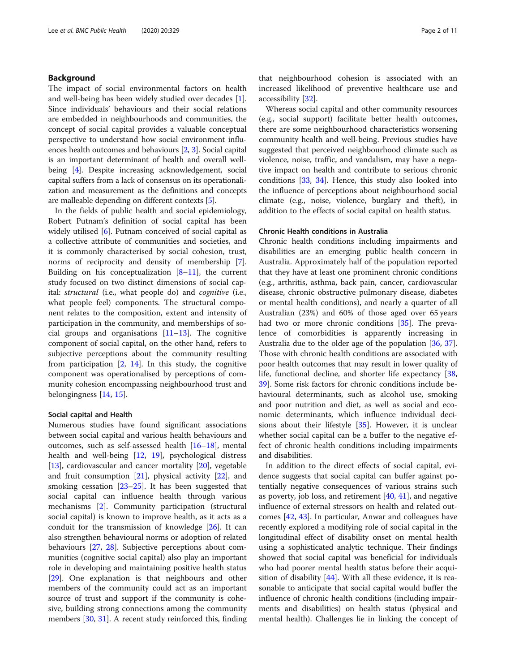### Background

The impact of social environmental factors on health and well-being has been widely studied over decades [\[1](#page-8-0)]. Since individuals' behaviours and their social relations are embedded in neighbourhoods and communities, the concept of social capital provides a valuable conceptual perspective to understand how social environment influences health outcomes and behaviours [\[2](#page-8-0), [3\]](#page-8-0). Social capital is an important determinant of health and overall wellbeing [[4\]](#page-8-0). Despite increasing acknowledgement, social capital suffers from a lack of consensus on its operationalization and measurement as the definitions and concepts are malleable depending on different contexts [\[5\]](#page-8-0).

In the fields of public health and social epidemiology, Robert Putnam's definition of social capital has been widely utilised [\[6\]](#page-8-0). Putnam conceived of social capital as a collective attribute of communities and societies, and it is commonly characterised by social cohesion, trust, norms of reciprocity and density of membership [\[7](#page-8-0)]. Building on his conceptualization  $[8-11]$  $[8-11]$  $[8-11]$  $[8-11]$ , the current study focused on two distinct dimensions of social capital: structural (i.e., what people do) and cognitive (i.e., what people feel) components. The structural component relates to the composition, extent and intensity of participation in the community, and memberships of social groups and organisations  $[11-13]$  $[11-13]$  $[11-13]$  $[11-13]$  $[11-13]$ . The cognitive component of social capital, on the other hand, refers to subjective perceptions about the community resulting from participation  $[2, 14]$  $[2, 14]$  $[2, 14]$  $[2, 14]$ . In this study, the cognitive component was operationalised by perceptions of community cohesion encompassing neighbourhood trust and belongingness [\[14,](#page-8-0) [15\]](#page-8-0).

#### Social capital and Health

Numerous studies have found significant associations between social capital and various health behaviours and outcomes, such as self-assessed health [[16](#page-9-0)–[18\]](#page-9-0), mental health and well-being [\[12](#page-8-0), [19](#page-9-0)], psychological distress [[13\]](#page-8-0), cardiovascular and cancer mortality [\[20\]](#page-9-0), vegetable and fruit consumption [[21\]](#page-9-0), physical activity [[22](#page-9-0)], and smoking cessation  $[23-25]$  $[23-25]$  $[23-25]$ . It has been suggested that social capital can influence health through various mechanisms [[2\]](#page-8-0). Community participation (structural social capital) is known to improve health, as it acts as a conduit for the transmission of knowledge [[26\]](#page-9-0). It can also strengthen behavioural norms or adoption of related behaviours [\[27](#page-9-0), [28\]](#page-9-0). Subjective perceptions about communities (cognitive social capital) also play an important role in developing and maintaining positive health status [[29\]](#page-9-0). One explanation is that neighbours and other members of the community could act as an important source of trust and support if the community is cohesive, building strong connections among the community members [[30](#page-9-0), [31](#page-9-0)]. A recent study reinforced this, finding

that neighbourhood cohesion is associated with an increased likelihood of preventive healthcare use and accessibility [[32\]](#page-9-0).

Whereas social capital and other community resources (e.g., social support) facilitate better health outcomes, there are some neighbourhood characteristics worsening community health and well-being. Previous studies have suggested that perceived neighbourhood climate such as violence, noise, traffic, and vandalism, may have a negative impact on health and contribute to serious chronic conditions [\[33,](#page-9-0) [34\]](#page-9-0). Hence, this study also looked into the influence of perceptions about neighbourhood social climate (e.g., noise, violence, burglary and theft), in addition to the effects of social capital on health status.

### Chronic Health conditions in Australia

Chronic health conditions including impairments and disabilities are an emerging public health concern in Australia. Approximately half of the population reported that they have at least one prominent chronic conditions (e.g., arthritis, asthma, back pain, cancer, cardiovascular disease, chronic obstructive pulmonary disease, diabetes or mental health conditions), and nearly a quarter of all Australian (23%) and 60% of those aged over 65 years had two or more chronic conditions [[35](#page-9-0)]. The prevalence of comorbidities is apparently increasing in Australia due to the older age of the population [\[36](#page-9-0), [37](#page-9-0)]. Those with chronic health conditions are associated with poor health outcomes that may result in lower quality of life, functional decline, and shorter life expectancy [[38](#page-9-0), [39\]](#page-9-0). Some risk factors for chronic conditions include behavioural determinants, such as alcohol use, smoking and poor nutrition and diet, as well as social and economic determinants, which influence individual decisions about their lifestyle [\[35\]](#page-9-0). However, it is unclear whether social capital can be a buffer to the negative effect of chronic health conditions including impairments and disabilities.

In addition to the direct effects of social capital, evidence suggests that social capital can buffer against potentially negative consequences of various strains such as poverty, job loss, and retirement [\[40](#page-9-0), [41\]](#page-9-0), and negative influence of external stressors on health and related outcomes [[42,](#page-9-0) [43\]](#page-9-0). In particular, Anwar and colleagues have recently explored a modifying role of social capital in the longitudinal effect of disability onset on mental health using a sophisticated analytic technique. Their findings showed that social capital was beneficial for individuals who had poorer mental health status before their acqui-sition of disability [\[44](#page-9-0)]. With all these evidence, it is reasonable to anticipate that social capital would buffer the influence of chronic health conditions (including impairments and disabilities) on health status (physical and mental health). Challenges lie in linking the concept of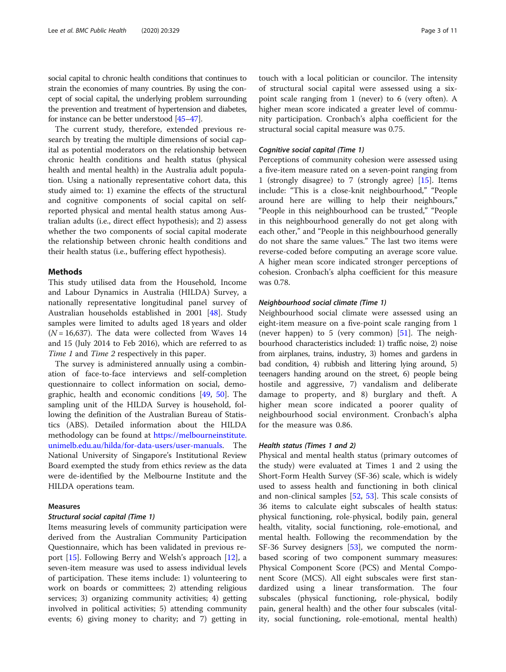social capital to chronic health conditions that continues to strain the economies of many countries. By using the concept of social capital, the underlying problem surrounding the prevention and treatment of hypertension and diabetes, for instance can be better understood [[45](#page-9-0)–[47](#page-9-0)].

The current study, therefore, extended previous research by treating the multiple dimensions of social capital as potential moderators on the relationship between chronic health conditions and health status (physical health and mental health) in the Australia adult population. Using a nationally representative cohort data, this study aimed to: 1) examine the effects of the structural and cognitive components of social capital on selfreported physical and mental health status among Australian adults (i.e., direct effect hypothesis); and 2) assess whether the two components of social capital moderate the relationship between chronic health conditions and their health status (i.e., buffering effect hypothesis).

### **Methods**

This study utilised data from the Household, Income and Labour Dynamics in Australia (HILDA) Survey, a nationally representative longitudinal panel survey of Australian households established in 2001 [[48\]](#page-9-0). Study samples were limited to adults aged 18 years and older  $(N = 16,637)$ . The data were collected from Waves 14 and 15 (July 2014 to Feb 2016), which are referred to as Time 1 and Time 2 respectively in this paper.

The survey is administered annually using a combination of face-to-face interviews and self-completion questionnaire to collect information on social, demographic, health and economic conditions [[49,](#page-9-0) [50](#page-9-0)]. The sampling unit of the HILDA Survey is household, following the definition of the Australian Bureau of Statistics (ABS). Detailed information about the HILDA methodology can be found at [https://melbourneinstitute.](https://melbourneinstitute.unimelb.edu.au/hilda/for-data-users/user-manuals) [unimelb.edu.au/hilda/for-data-users/user-manuals.](https://melbourneinstitute.unimelb.edu.au/hilda/for-data-users/user-manuals) The National University of Singapore's Institutional Review Board exempted the study from ethics review as the data were de-identified by the Melbourne Institute and the HILDA operations team.

### Measures

### Structural social capital (Time 1)

Items measuring levels of community participation were derived from the Australian Community Participation Questionnaire, which has been validated in previous report [[15\]](#page-8-0). Following Berry and Welsh's approach [\[12](#page-8-0)], a seven-item measure was used to assess individual levels of participation. These items include: 1) volunteering to work on boards or committees; 2) attending religious services; 3) organizing community activities; 4) getting involved in political activities; 5) attending community events; 6) giving money to charity; and 7) getting in touch with a local politician or councilor. The intensity of structural social capital were assessed using a sixpoint scale ranging from 1 (never) to 6 (very often). A higher mean score indicated a greater level of community participation. Cronbach's alpha coefficient for the structural social capital measure was 0.75.

### Cognitive social capital (Time 1)

Perceptions of community cohesion were assessed using a five-item measure rated on a seven-point ranging from 1 (strongly disagree) to 7 (strongly agree) [\[15](#page-8-0)]. Items include: "This is a close-knit neighbourhood," "People around here are willing to help their neighbours," "People in this neighbourhood can be trusted," "People in this neighbourhood generally do not get along with each other," and "People in this neighbourhood generally do not share the same values." The last two items were reverse-coded before computing an average score value. A higher mean score indicated stronger perceptions of cohesion. Cronbach's alpha coefficient for this measure was 0.78.

### Neighbourhood social climate (Time 1)

Neighbourhood social climate were assessed using an eight-item measure on a five-point scale ranging from 1 (never happen) to 5 (very common)  $[51]$  $[51]$ . The neighbourhood characteristics included: 1) traffic noise, 2) noise from airplanes, trains, industry, 3) homes and gardens in bad condition, 4) rubbish and littering lying around, 5) teenagers handing around on the street, 6) people being hostile and aggressive, 7) vandalism and deliberate damage to property, and 8) burglary and theft. A higher mean score indicated a poorer quality of neighbourhood social environment. Cronbach's alpha for the measure was 0.86.

### Health status (Times 1 and 2)

Physical and mental health status (primary outcomes of the study) were evaluated at Times 1 and 2 using the Short-Form Health Survey (SF-36) scale, which is widely used to assess health and functioning in both clinical and non-clinical samples [[52,](#page-9-0) [53](#page-9-0)]. This scale consists of 36 items to calculate eight subscales of health status: physical functioning, role-physical, bodily pain, general health, vitality, social functioning, role-emotional, and mental health. Following the recommendation by the SF-36 Survey designers [[53\]](#page-9-0), we computed the normbased scoring of two component summary measures: Physical Component Score (PCS) and Mental Component Score (MCS). All eight subscales were first standardized using a linear transformation. The four subscales (physical functioning, role-physical, bodily pain, general health) and the other four subscales (vitality, social functioning, role-emotional, mental health)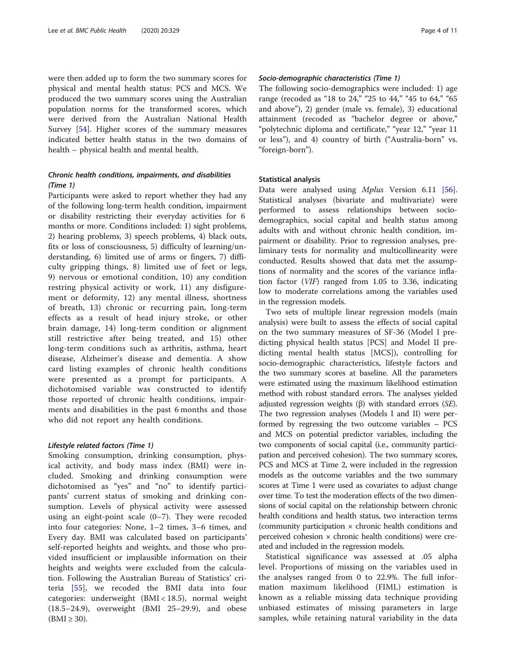were then added up to form the two summary scores for physical and mental health status: PCS and MCS. We produced the two summary scores using the Australian population norms for the transformed scores, which were derived from the Australian National Health Survey [[54](#page-9-0)]. Higher scores of the summary measures indicated better health status in the two domains of health – physical health and mental health.

### Chronic health conditions, impairments, and disabilities (Time 1)

Participants were asked to report whether they had any of the following long-term health condition, impairment or disability restricting their everyday activities for 6 months or more. Conditions included: 1) sight problems, 2) hearing problems, 3) speech problems, 4) black outs, fits or loss of consciousness, 5) difficulty of learning/understanding, 6) limited use of arms or fingers, 7) difficulty gripping things, 8) limited use of feet or legs, 9) nervous or emotional condition, 10) any condition restring physical activity or work, 11) any disfigurement or deformity, 12) any mental illness, shortness of breath, 13) chronic or recurring pain, long-term effects as a result of head injury stroke, or other brain damage, 14) long-term condition or alignment still restrictive after being treated, and 15) other long-term conditions such as arthritis, asthma, heart disease, Alzheimer's disease and dementia. A show card listing examples of chronic health conditions were presented as a prompt for participants. A dichotomised variable was constructed to identify those reported of chronic health conditions, impairments and disabilities in the past 6 months and those who did not report any health conditions.

### Lifestyle related factors (Time 1)

Smoking consumption, drinking consumption, physical activity, and body mass index (BMI) were included. Smoking and drinking consumption were dichotomised as "yes" and "no" to identify participants' current status of smoking and drinking consumption. Levels of physical activity were assessed using an eight-point scale (0–7). They were recoded into four categories: None, 1–2 times, 3–6 times, and Every day. BMI was calculated based on participants' self-reported heights and weights, and those who provided insufficient or implausible information on their heights and weights were excluded from the calculation. Following the Australian Bureau of Statistics' criteria [\[55](#page-9-0)], we recoded the BMI data into four categories: underweight (BMI < 18.5), normal weight (18.5–24.9), overweight (BMI 25–29.9), and obese  $(BMI \geq 30)$ .

### Socio-demographic characteristics (Time 1)

The following socio-demographics were included: 1) age range (recoded as "18 to 24," "25 to 44," "45 to 64," "65 and above"), 2) gender (male vs. female), 3) educational attainment (recoded as "bachelor degree or above," "polytechnic diploma and certificate," "year 12," "year 11 or less"), and 4) country of birth ("Australia-born" vs. "foreign-born").

### Statistical analysis

Data were analysed using *Mplus* Version 6.11 [\[56](#page-9-0)]. Statistical analyses (bivariate and multivariate) were performed to assess relationships between sociodemographics, social capital and health status among adults with and without chronic health condition, impairment or disability. Prior to regression analyses, preliminary tests for normality and multicollinearity were conducted. Results showed that data met the assumptions of normality and the scores of the variance inflation factor (VIF) ranged from 1.05 to 3.36, indicating low to moderate correlations among the variables used in the regression models.

Two sets of multiple linear regression models (main analysis) were built to assess the effects of social capital on the two summary measures of SF-36 (Model I predicting physical health status [PCS] and Model II predicting mental health status [MCS]), controlling for socio-demographic characteristics, lifestyle factors and the two summary scores at baseline. All the parameters were estimated using the maximum likelihood estimation method with robust standard errors. The analyses yielded adjusted regression weights (β) with standard errors (SE). The two regression analyses (Models I and II) were performed by regressing the two outcome variables – PCS and MCS on potential predictor variables, including the two components of social capital (i.e., community participation and perceived cohesion). The two summary scores, PCS and MCS at Time 2, were included in the regression models as the outcome variables and the two summary scores at Time 1 were used as covariates to adjust change over time. To test the moderation effects of the two dimensions of social capital on the relationship between chronic health conditions and health status, two interaction terms (community participation  $\times$  chronic health conditions and perceived cohesion  $\times$  chronic health conditions) were created and included in the regression models.

Statistical significance was assessed at .05 alpha level. Proportions of missing on the variables used in the analyses ranged from 0 to 22.9%. The full information maximum likelihood (FIML) estimation is known as a reliable missing data technique providing unbiased estimates of missing parameters in large samples, while retaining natural variability in the data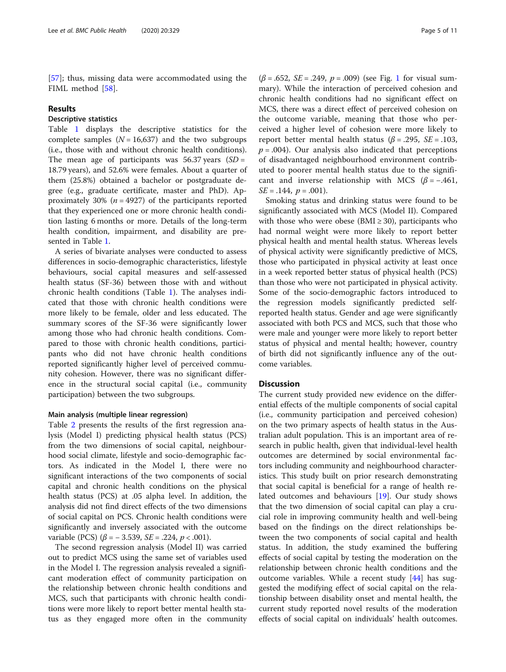[[57\]](#page-9-0); thus, missing data were accommodated using the FIML method [\[58](#page-9-0)].

### Results

### Descriptive statistics

Table [1](#page-5-0) displays the descriptive statistics for the complete samples  $(N = 16,637)$  and the two subgroups (i.e., those with and without chronic health conditions). The mean age of participants was 56.37 years  $(SD =$ 18.79 years), and 52.6% were females. About a quarter of them (25.8%) obtained a bachelor or postgraduate degree (e.g., graduate certificate, master and PhD). Approximately 30% ( $n = 4927$ ) of the participants reported that they experienced one or more chronic health condition lasting 6 months or more. Details of the long-term health condition, impairment, and disability are presented in Table [1.](#page-5-0)

A series of bivariate analyses were conducted to assess differences in socio-demographic characteristics, lifestyle behaviours, social capital measures and self-assessed health status (SF-36) between those with and without chronic health conditions (Table [1\)](#page-5-0). The analyses indicated that those with chronic health conditions were more likely to be female, older and less educated. The summary scores of the SF-36 were significantly lower among those who had chronic health conditions. Compared to those with chronic health conditions, participants who did not have chronic health conditions reported significantly higher level of perceived community cohesion. However, there was no significant difference in the structural social capital (i.e., community participation) between the two subgroups.

#### Main analysis (multiple linear regression)

Table [2](#page-6-0) presents the results of the first regression analysis (Model I) predicting physical health status (PCS) from the two dimensions of social capital, neighbourhood social climate, lifestyle and socio-demographic factors. As indicated in the Model I, there were no significant interactions of the two components of social capital and chronic health conditions on the physical health status (PCS) at .05 alpha level. In addition, the analysis did not find direct effects of the two dimensions of social capital on PCS. Chronic health conditions were significantly and inversely associated with the outcome variable (PCS) ( $\beta$  = -3.539, *SE* = .224,  $p < .001$ ).

The second regression analysis (Model II) was carried out to predict MCS using the same set of variables used in the Model I. The regression analysis revealed a significant moderation effect of community participation on the relationship between chronic health conditions and MCS, such that participants with chronic health conditions were more likely to report better mental health status as they engaged more often in the community

 $(\beta = .652, SE = .249, p = .009)$  (see Fig. [1](#page-7-0) for visual summary). While the interaction of perceived cohesion and chronic health conditions had no significant effect on MCS, there was a direct effect of perceived cohesion on the outcome variable, meaning that those who perceived a higher level of cohesion were more likely to report better mental health status ( $β = .295$ ,  $SE = .103$ ,  $p = .004$ ). Our analysis also indicated that perceptions of disadvantaged neighbourhood environment contributed to poorer mental health status due to the significant and inverse relationship with MCS ( $\beta$  = -.461,  $SE = .144$ ,  $p = .001$ ).

Smoking status and drinking status were found to be significantly associated with MCS (Model II). Compared with those who were obese ( $BMI \geq 30$ ), participants who had normal weight were more likely to report better physical health and mental health status. Whereas levels of physical activity were significantly predictive of MCS, those who participated in physical activity at least once in a week reported better status of physical health (PCS) than those who were not participated in physical activity. Some of the socio-demographic factors introduced to the regression models significantly predicted selfreported health status. Gender and age were significantly associated with both PCS and MCS, such that those who were male and younger were more likely to report better status of physical and mental health; however, country of birth did not significantly influence any of the outcome variables.

### Discussion

The current study provided new evidence on the differential effects of the multiple components of social capital (i.e., community participation and perceived cohesion) on the two primary aspects of health status in the Australian adult population. This is an important area of research in public health, given that individual-level health outcomes are determined by social environmental factors including community and neighbourhood characteristics. This study built on prior research demonstrating that social capital is beneficial for a range of health related outcomes and behaviours [[19](#page-9-0)]. Our study shows that the two dimension of social capital can play a crucial role in improving community health and well-being based on the findings on the direct relationships between the two components of social capital and health status. In addition, the study examined the buffering effects of social capital by testing the moderation on the relationship between chronic health conditions and the outcome variables. While a recent study [\[44](#page-9-0)] has suggested the modifying effect of social capital on the relationship between disability onset and mental health, the current study reported novel results of the moderation effects of social capital on individuals' health outcomes.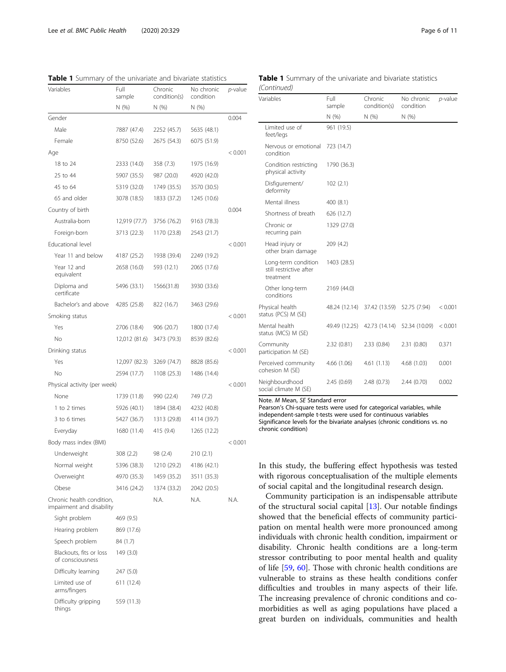<span id="page-5-0"></span>Table 1 Summary of the univariate and bivariate statistics

| Variables                                              | Full<br>sample | Chronic<br>condition(s) | No chronic<br>condition | <i>p</i> -value |  |
|--------------------------------------------------------|----------------|-------------------------|-------------------------|-----------------|--|
|                                                        | N (%)          | N (%)                   | N (%)                   |                 |  |
| Gender                                                 |                |                         |                         | 0.004           |  |
| Male                                                   | 7887 (47.4)    | 2252 (45.7)             | 5635 (48.1)             |                 |  |
| Female                                                 | 8750 (52.6)    | 2675 (54.3)             | 6075 (51.9)             |                 |  |
| Age                                                    |                |                         |                         | < 0.001         |  |
| 18 to 24                                               | 2333 (14.0)    | 358 (7.3)               | 1975 (16.9)             |                 |  |
| 25 to 44                                               | 5907 (35.5)    | 987 (20.0)              | 4920 (42.0)             |                 |  |
| 45 to 64                                               | 5319 (32.0)    | 1749 (35.5)             | 3570 (30.5)             |                 |  |
| 65 and older                                           | 3078 (18.5)    | 1833 (37.2)             | 1245 (10.6)             |                 |  |
| Country of birth                                       |                |                         |                         | 0.004           |  |
| Australia-born                                         | 12,919 (77.7)  | 3756 (76.2)             | 9163 (78.3)             |                 |  |
| Foreign-born                                           | 3713 (22.3)    | 1170 (23.8)             | 2543 (21.7)             |                 |  |
| Educational level                                      |                |                         |                         | < 0.001         |  |
| Year 11 and below                                      | 4187 (25.2)    | 1938 (39.4)             | 2249 (19.2)             |                 |  |
| Year 12 and<br>equivalent                              | 2658 (16.0)    | 593 (12.1)              | 2065 (17.6)             |                 |  |
| Diploma and<br>certificate                             | 5496 (33.1)    | 1566(31.8)              | 3930 (33.6)             |                 |  |
| Bachelor's and above                                   | 4285 (25.8)    | 822 (16.7)              | 3463 (29.6)             |                 |  |
| Smoking status                                         |                |                         |                         | < 0.001         |  |
| Yes                                                    | 2706 (18.4)    | 906 (20.7)              | 1800 (17.4)             |                 |  |
| No                                                     | 12,012 (81.6)  | 3473 (79.3)             | 8539 (82.6)             |                 |  |
| Drinking status                                        |                |                         |                         | < 0.001         |  |
| Yes                                                    | 12,097 (82.3)  | 3269 (74.7)             | 8828 (85.6)             |                 |  |
| No                                                     | 2594 (17.7)    | 1108 (25.3)             | 1486 (14.4)             |                 |  |
| Physical activity (per week)                           |                |                         |                         | < 0.001         |  |
| None                                                   | 1739 (11.8)    | 990 (22.4)              | 749 (7.2)               |                 |  |
| 1 to 2 times                                           | 5926 (40.1)    | 1894 (38.4)             | 4232 (40.8)             |                 |  |
| 3 to 6 times                                           | 5427 (36.7)    | 1313 (29.8)             | 4114 (39.7)             |                 |  |
| Everyday                                               | 1680 (11.4)    | 415 (9.4)               | 1265 (12.2)             |                 |  |
| Body mass index (BMI)                                  |                |                         |                         | < 0.001         |  |
| Underweight                                            | 308 (2.2)      | 98 (2.4)                | 210(2.1)                |                 |  |
| Normal weight                                          | 5396 (38.3)    | 1210 (29.2)             | 4186 (42.1)             |                 |  |
| Overweight                                             | 4970 (35.3)    | 1459 (35.2)             | 3511 (35.3)             |                 |  |
| Obese                                                  | 3416 (24.2)    | 1374 (33.2)             | 2042 (20.5)             |                 |  |
| Chronic health condition,<br>impairment and disability |                | N.A.                    | N.A.                    | N.A.            |  |
| Sight problem                                          | 469 (9.5)      |                         |                         |                 |  |
| Hearing problem                                        | 869 (17.6)     |                         |                         |                 |  |
| Speech problem                                         | 84 (1.7)       |                         |                         |                 |  |
| Blackouts, fits or loss<br>of consciousness            | 149 (3.0)      |                         |                         |                 |  |
| Difficulty learning                                    | 247 (5.0)      |                         |                         |                 |  |
| Limited use of<br>arms/fingers                         | 611 (12.4)     |                         |                         |                 |  |
| Difficulty gripping<br>things                          | 559 (11.3)     |                         |                         |                 |  |

Table 1 Summary of the univariate and bivariate statistics (Continued)

| Variables                                                   | Full<br>Chronic<br>condition(s)<br>sample |               | No chronic<br>condition | $p$ -value |  |
|-------------------------------------------------------------|-------------------------------------------|---------------|-------------------------|------------|--|
|                                                             | N (%)                                     | N(%)          | N(%)                    |            |  |
| Limited use of<br>feet/legs                                 | 961 (19.5)                                |               |                         |            |  |
| Nervous or emotional<br>condition                           | 723 (14.7)                                |               |                         |            |  |
| Condition restricting<br>physical activity                  | 1790 (36.3)                               |               |                         |            |  |
| Disfigurement/<br>deformity                                 | 102(2.1)                                  |               |                         |            |  |
| Mental illness                                              | 400(8.1)                                  |               |                         |            |  |
| Shortness of breath                                         | 626 (12.7)                                |               |                         |            |  |
| Chronic or<br>recurring pain                                | 1329 (27.0)                               |               |                         |            |  |
| Head injury or<br>other brain damage                        | 209 (4.2)                                 |               |                         |            |  |
| Long-term condition<br>still restrictive after<br>treatment | 1403 (28.5)                               |               |                         |            |  |
| Other long-term<br>conditions                               | 2169 (44.0)                               |               |                         |            |  |
| Physical health<br>status (PCS) M (SE)                      | 48.24 (12.14)                             | 37.42 (13.59) | 52.75 (7.94)            | < 0.001    |  |
| Mental health<br>status (MCS) M (SE)                        | 49.49 (12.25)                             | 42.73 (14.14) | 52.34 (10.09)           | < 0.001    |  |
| Community<br>participation M (SE)                           | 2.32(0.81)                                | 2.33(0.84)    | 2.31(0.80)              | 0.371      |  |
| Perceived community<br>cohesion M (SE)                      | 4.66(1.06)                                | 4.61(1.13)    | 4.68 (1.03)             | 0.001      |  |
| Neighbourdhood<br>social climate M (SE)                     | 2.45(0.69)                                | 2.48(0.73)    | 2.44(0.70)              | 0.002      |  |

Note. M Mean, SE Standard error

Pearson's Chi-square tests were used for categorical variables, while independent-sample t-tests were used for continuous variables Significance levels for the bivariate analyses (chronic conditions vs. no chronic condition)

In this study, the buffering effect hypothesis was tested with rigorous conceptualisation of the multiple elements of social capital and the longitudinal research design.

Community participation is an indispensable attribute of the structural social capital [\[13](#page-8-0)]. Our notable findings showed that the beneficial effects of community participation on mental health were more pronounced among individuals with chronic health condition, impairment or disability. Chronic health conditions are a long-term stressor contributing to poor mental health and quality of life [[59](#page-9-0), [60\]](#page-9-0). Those with chronic health conditions are vulnerable to strains as these health conditions confer difficulties and troubles in many aspects of their life. The increasing prevalence of chronic conditions and comorbidities as well as aging populations have placed a great burden on individuals, communities and health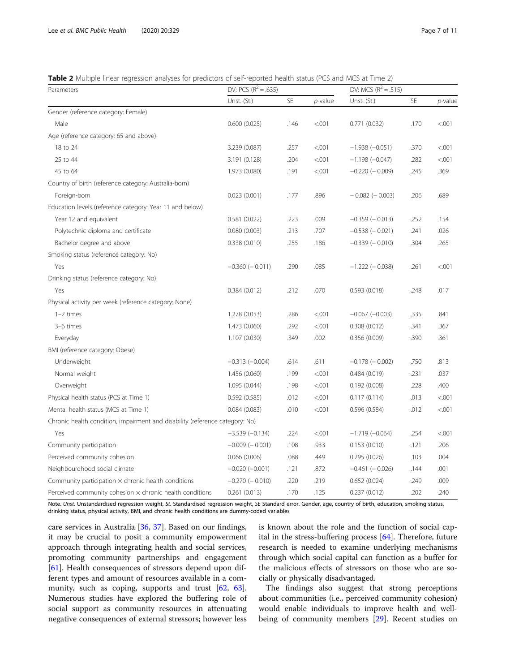<span id="page-6-0"></span>Table 2 Multiple linear regression analyses for predictors of self-reported health status (PCS and MCS at Time 2)

| Parameters                                                                   | DV: PCS $(R^2 = .635)$ |      |            | DV: MCS $(R^2 = .515)$ |      |         |
|------------------------------------------------------------------------------|------------------------|------|------------|------------------------|------|---------|
|                                                                              | Unst. (St.)            | SE   | $p$ -value | Unst. (St.)            | SE   | p-value |
| Gender (reference category: Female)                                          |                        |      |            |                        |      |         |
| Male                                                                         | 0.600(0.025)           | .146 | < .001     | 0.771(0.032)           | .170 | < .001  |
| Age (reference category: 65 and above)                                       |                        |      |            |                        |      |         |
| 18 to 24                                                                     | 3.239 (0.087)          | .257 | < .001     | $-1.938(-0.051)$       | .370 | < .001  |
| 25 to 44                                                                     | 3.191 (0.128)          | .204 | < .001     | $-1.198(-0.047)$       | .282 | < .001  |
| 45 to 64                                                                     | 1.973 (0.080)          | .191 | < .001     | $-0.220$ ( $-0.009$ )  | .245 | .369    |
| Country of birth (reference category: Australia-born)                        |                        |      |            |                        |      |         |
| Foreign-born                                                                 | 0.023(0.001)           | .177 | .896       | $-0.082$ ( $-0.003$ )  | .206 | .689    |
| Education levels (reference category: Year 11 and below)                     |                        |      |            |                        |      |         |
| Year 12 and equivalent                                                       | 0.581(0.022)           | .223 | .009       | $-0.359$ ( $-0.013$ )  | .252 | .154    |
| Polytechnic diploma and certificate                                          | 0.080(0.003)           | .213 | .707       | $-0.538$ ( $-0.021$ )  | .241 | .026    |
| Bachelor degree and above                                                    | 0.338(0.010)           | .255 | .186       | $-0.339$ $(-0.010)$    | .304 | .265    |
| Smoking status (reference category: No)                                      |                        |      |            |                        |      |         |
| Yes                                                                          | $-0.360$ $(-0.011)$    | .290 | .085       | $-1.222(-0.038)$       | .261 | < .001  |
| Drinking status (reference category: No)                                     |                        |      |            |                        |      |         |
| Yes                                                                          | 0.384(0.012)           | .212 | .070       | 0.593(0.018)           | .248 | .017    |
| Physical activity per week (reference category: None)                        |                        |      |            |                        |      |         |
| $1-2$ times                                                                  | 1.278 (0.053)          | .286 | < .001     | $-0.067$ $(-0.003)$    | .335 | .841    |
| 3-6 times                                                                    | 1.473 (0.060)          | .292 | < .001     | 0.308(0.012)           | .341 | .367    |
| Everyday                                                                     | 1.107 (0.030)          | .349 | .002       | 0.356(0.009)           | .390 | .361    |
| BMI (reference category: Obese)                                              |                        |      |            |                        |      |         |
| Underweight                                                                  | $-0.313(-0.004)$       | .614 | .611       | $-0.178$ ( $-0.002$ )  | .750 | .813    |
| Normal weight                                                                | 1.456 (0.060)          | .199 | < .001     | 0.484(0.019)           | .231 | .037    |
| Overweight                                                                   | 1.095 (0.044)          | .198 | < .001     | 0.192(0.008)           | .228 | .400    |
| Physical health status (PCS at Time 1)                                       | 0.592(0.585)           | .012 | < .001     | 0.117(0.114)           | .013 | < .001  |
| Mental health status (MCS at Time 1)                                         | 0.084(0.083)           | .010 | < .001     | 0.596(0.584)           | .012 | < .001  |
| Chronic health condition, impairment and disability (reference category: No) |                        |      |            |                        |      |         |
| Yes                                                                          | $-3.539(-0.134)$       | .224 | < .001     | $-1.719(-0.064)$       | .254 | < .001  |
| Community participation                                                      | $-0.009$ ( $-0.001$ )  | .108 | .933       | 0.153(0.010)           | .121 | .206    |
| Perceived community cohesion                                                 | 0.066(0.006)           | .088 | .449       | 0.295(0.026)           | .103 | .004    |
| Neighbourdhood social climate                                                | $-0.020$ $(-0.001)$    | .121 | .872       | $-0.461$ $(-0.026)$    | .144 | .001    |
| Community participation $\times$ chronic health conditions                   | $-0.270$ ( $-0.010$ )  | .220 | .219       | 0.652(0.024)           | .249 | .009    |
| Perceived community cohesion x chronic health conditions                     | 0.261(0.013)           | .170 | .125       | 0.237(0.012)           | .202 | .240    |

Note. Unst. Unstandardised regression weight, St. Standardised regression weight, SE Standard error. Gender, age, country of birth, education, smoking status, drinking status, physical activity, BMI, and chronic health conditions are dummy-coded variables

care services in Australia [\[36](#page-9-0), [37](#page-9-0)]. Based on our findings, it may be crucial to posit a community empowerment approach through integrating health and social services, promoting community partnerships and engagement [[61\]](#page-9-0). Health consequences of stressors depend upon different types and amount of resources available in a com-munity, such as coping, supports and trust [[62](#page-9-0), [63](#page-9-0)]. Numerous studies have explored the buffering role of social support as community resources in attenuating negative consequences of external stressors; however less

is known about the role and the function of social capital in the stress-buffering process [\[64\]](#page-10-0). Therefore, future research is needed to examine underlying mechanisms through which social capital can function as a buffer for the malicious effects of stressors on those who are socially or physically disadvantaged.

The findings also suggest that strong perceptions about communities (i.e., perceived community cohesion) would enable individuals to improve health and wellbeing of community members [\[29\]](#page-9-0). Recent studies on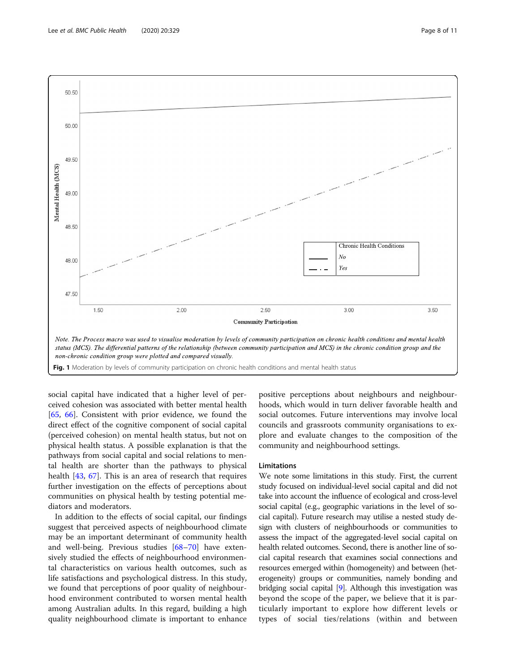<span id="page-7-0"></span>

social capital have indicated that a higher level of perceived cohesion was associated with better mental health [[65,](#page-10-0) [66](#page-10-0)]. Consistent with prior evidence, we found the direct effect of the cognitive component of social capital (perceived cohesion) on mental health status, but not on physical health status. A possible explanation is that the pathways from social capital and social relations to mental health are shorter than the pathways to physical health [[43](#page-9-0), [67](#page-10-0)]. This is an area of research that requires further investigation on the effects of perceptions about communities on physical health by testing potential mediators and moderators.

In addition to the effects of social capital, our findings suggest that perceived aspects of neighbourhood climate may be an important determinant of community health and well-being. Previous studies [[68](#page-10-0)–[70](#page-10-0)] have extensively studied the effects of neighbourhood environmental characteristics on various health outcomes, such as life satisfactions and psychological distress. In this study, we found that perceptions of poor quality of neighbourhood environment contributed to worsen mental health among Australian adults. In this regard, building a high quality neighbourhood climate is important to enhance

positive perceptions about neighbours and neighbourhoods, which would in turn deliver favorable health and social outcomes. Future interventions may involve local councils and grassroots community organisations to explore and evaluate changes to the composition of the community and neighbourhood settings.

### Limitations

We note some limitations in this study. First, the current study focused on individual-level social capital and did not take into account the influence of ecological and cross-level social capital (e.g., geographic variations in the level of social capital). Future research may utilise a nested study design with clusters of neighbourhoods or communities to assess the impact of the aggregated-level social capital on health related outcomes. Second, there is another line of social capital research that examines social connections and resources emerged within (homogeneity) and between (heterogeneity) groups or communities, namely bonding and bridging social capital [[9](#page-8-0)]. Although this investigation was beyond the scope of the paper, we believe that it is particularly important to explore how different levels or types of social ties/relations (within and between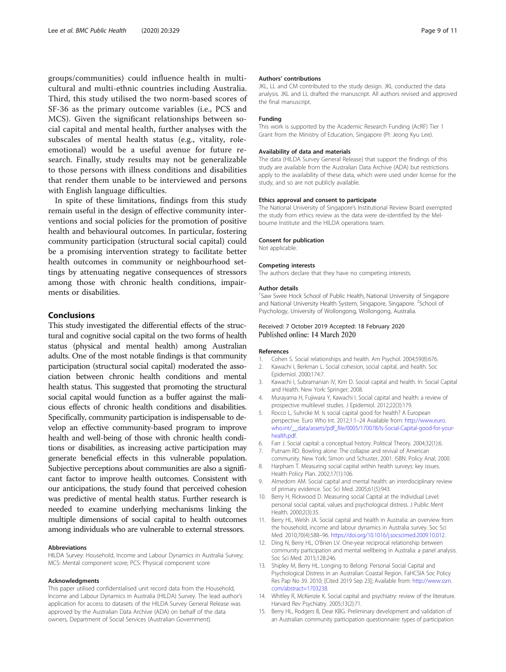<span id="page-8-0"></span>groups/communities) could influence health in multicultural and multi-ethnic countries including Australia. Third, this study utilised the two norm-based scores of SF-36 as the primary outcome variables (i.e., PCS and MCS). Given the significant relationships between social capital and mental health, further analyses with the subscales of mental health status (e.g., vitality, roleemotional) would be a useful avenue for future research. Finally, study results may not be generalizable to those persons with illness conditions and disabilities that render them unable to be interviewed and persons with English language difficulties.

In spite of these limitations, findings from this study remain useful in the design of effective community interventions and social policies for the promotion of positive health and behavioural outcomes. In particular, fostering community participation (structural social capital) could be a promising intervention strategy to facilitate better health outcomes in community or neighbourhood settings by attenuating negative consequences of stressors among those with chronic health conditions, impairments or disabilities.

### Conclusions

This study investigated the differential effects of the structural and cognitive social capital on the two forms of health status (physical and mental health) among Australian adults. One of the most notable findings is that community participation (structural social capital) moderated the association between chronic health conditions and mental health status. This suggested that promoting the structural social capital would function as a buffer against the malicious effects of chronic health conditions and disabilities. Specifically, community participation is indispensable to develop an effective community-based program to improve health and well-being of those with chronic health conditions or disabilities, as increasing active participation may generate beneficial effects in this vulnerable population. Subjective perceptions about communities are also a significant factor to improve health outcomes. Consistent with our anticipations, the study found that perceived cohesion was predictive of mental health status. Further research is needed to examine underlying mechanisms linking the multiple dimensions of social capital to health outcomes among individuals who are vulnerable to external stressors.

### Abbreviations

HILDA Survey: Household, Income and Labour Dynamics in Australia Survey; MCS: Mental component score; PCS: Physical component score

#### Acknowledgments

This paper utilised confidentialised unit record data from the Household, Income and Labour Dynamics in Australia (HILDA) Survey. The lead author's application for access to datasets of the HILDA Survey General Release was approved by the Australian Data Archive (ADA) on behalf of the data owners, Department of Social Services (Australian Government).

#### Authors' contributions

JKL, LL and CM contributed to the study design. JKL conducted the data analysis. JKL and LL drafted the manuscript. All authors revised and approved the final manuscript.

#### Funding

This work is supported by the Academic Research Funding (AcRF) Tier 1 Grant from the Ministry of Education, Singapore (PI: Jeong Kyu Lee).

#### Availability of data and materials

The data (HILDA Survey General Release) that support the findings of this study are available from the Australian Data Archive (ADA) but restrictions apply to the availability of these data, which were used under license for the study, and so are not publicly available.

#### Ethics approval and consent to participate

The National University of Singapore's Institutional Review Board exempted the study from ethics review as the data were de-identified by the Melbourne Institute and the HILDA operations team.

#### Consent for publication

Not applicable.

#### Competing interests

The authors declare that they have no competing interests.

#### Author details

<sup>1</sup>Saw Swee Hock School of Public Health, National University of Singapore and National University Health System, Singapore, Singapore. <sup>2</sup>School of Psychology, University of Wollongong, Wollongong, Australia.

# Received: 7 October 2019 Accepted: 18 February 2020

#### References

- 1. Cohen S. Social relationships and health. Am Psychol. 2004;59(8):676.
- 2. Kawachi I, Berkman L. Social cohesion, social capital, and health. Soc Epidemiol. 2000;174:7.
- 3. Kawachi I, Subramanian IV, Kim D. Social capital and health. In: Social Capital and Health. New York: Springer; 2008.
- 4. Murayama H, Fujiwara Y, Kawachi I. Social capital and health: a review of prospective multilevel studies. J Epidemiol. 2012;22(3):179.
- 5. Rocco L, Suhrcke M. Is social capital good for health? A European perspective. Euro Who Int. 2012;1:1–24 Available from: [http://www.euro.](http://www.euro.who.int/__data/assets/pdf_file/0005/170078/Is-Social-Capital-good-for-your-health.pdf) who.int/ data/assets/pdf file/0005/170078/Is-Social-Capital-good-for-yourhealth ndf.
- 6. Farr J. Social capital: a conceptual history. Political Theory. 2004;32(1):6.
- 7. Putnam RD. Bowling alone: The collapse and revival of American community. New York: Simon und Schuster, 2001. ISBN. Policy Anal; 2000.
- 8. Harpham T. Measuring social capital within health surveys: key issues. Health Policy Plan. 2002;17(1):106.
- 9. Almedom AM. Social capital and mental health: an interdisciplinary review of primary evidence. Soc Sci Med. 2005;61(5):943.
- 10. Berry H, Rickwood D. Measuring social Capital at the Individual Level: personal social capital, values and psychological distress. J Public Ment Health. 2000;2(3):35.
- 11. Berry HL, Welsh JA. Social capital and health in Australia: an overview from the household, income and labour dynamics in Australia survey. Soc Sci Med. 2010;70(4):588–96. [https://doi.org/10.1016/j.socscimed.2009.10.012.](https://doi.org/10.1016/j.socscimed.2009.10.012)
- 12. Ding N, Berry HL, O'Brien LV. One-year reciprocal relationship between community participation and mental wellbeing in Australia: a panel analysis. Soc Sci Med. 2015;128:246.
- 13. Shipley M, Berry HL. Longing to Belong: Personal Social Capital and Psychological Distress in an Australian Coastal Region. FaHCSIA Soc Policy Res Pap No 39. 2010; [Cited 2019 Sep 23]; Available from: [http://www.ssrn.](http://www.ssrn.com/abstract=1703238) [com/abstract=1703238](http://www.ssrn.com/abstract=1703238).
- 14. Whitley R, McKenzie K. Social capital and psychiatry: review of the literature. Harvard Rev Psychiatry. 2005;13(2):71.
- 15. Berry HL, Rodgers B, Dear KBG. Preliminary development and validation of an Australian community participation questionnaire: types of participation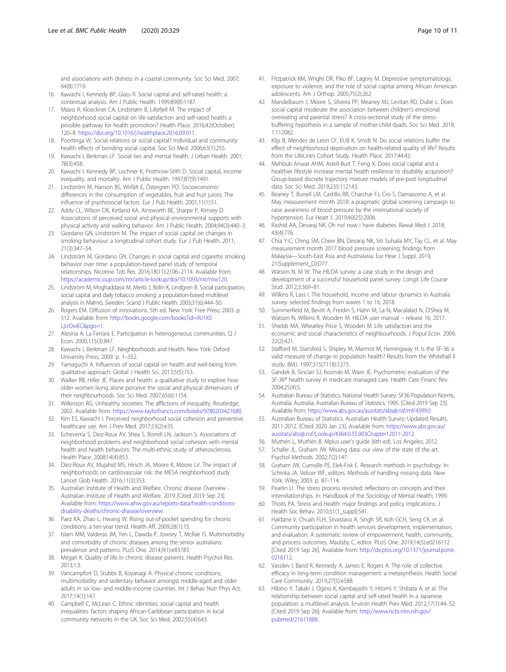<span id="page-9-0"></span>and associations with distress in a coastal community. Soc Sci Med. 2007; 64(8):1719.

- 16. Kawachi I, Kennedy BP, Glass R. Social capital and self-rated health: a contextual analysis. Am J Public Health. 1999;89(8):1187.
- 17. Maass R, Kloeckner CA, Lindstrøm B, Lillefjell M. The impact of neighborhood social capital on life satisfaction and self-rated health: a possible pathway for health promotion? Health Place. 2016;42(October): 120–8. <https://doi.org/10.1016/j.healthplace.2016.09.011>.
- 18. Poortinga W. Social relations or social capital? Individual and community health effects of bonding social capital. Soc Sci Med. 2006;63(1):255.
- 19. Kawachi I, Berkman LF. Social ties and mental health. J Urban Health. 2001; 78(3):458.
- 20. Kawachi I, Kennedy BP, Lochner K, Prothrow-Stith D. Social capital, income inequality, and mortality. Am J Public Health. 1997;87(9):1491.
- 21. Lindström M, Hanson BS, Wirfält E, Östergren PO. Socioeconomic differences in the consumption of vegetables, fruit and fruit juices: The influence of psychosocial factors. Eur J Pub Health. 2001;11(1):51.
- 22. Addy CL, Wilson DK, Kirtland KA, Ainsworth BE, Sharpe P, Kimsey D. Associations of perceived social and physical environmental supports with physical activity and walking behavior. Am J Public Health. 2004;94(3):440–3.
- 23. Giordano GN, Lindström M. The impact of social capital on changes in smoking behaviour: a longitudinal cohort study. Eur J Pub Health. 2011; 21(3):347–54.
- 24. Lindström M, Giordano GN. Changes in social capital and cigarette smoking behavior over time: a population-based panel study of temporal relationships. Nicotine Tob Res. 2016;18(11):2106–2114. Available from: <https://academic.oup.com/ntr/article-lookup/doi/10.1093/ntr/ntw120>.
- 25. Lindström M, Moghaddassi M, Merlo J, Bolin K, Lindgren B. Social participation, social capital and daily tobacco smoking: a population-based multilevel analysis in Malmö, Sweden. Scand J Public Health. 2003;31(6):444–50.
- 26. Rogers EM. Diffusion of innovations. 5th ed. New York: Free Press; 2003. p. 512. Available from: [http://books.google.com/books?id=9U1K5](http://books.google.com/books?id=9U1K5LjUOwEC&pgis=1) [LjUOwEC&pgis=1](http://books.google.com/books?id=9U1K5LjUOwEC&pgis=1).
- 27. Alesina A, La Ferrara E. Participation in heterogeneous communities. Q J Econ. 2000;115(3):847.
- 28. Kawachi I, Berkman LF. Neighborhoods and Health: New York: Oxford University Press; 2009. p. 1–352.
- 29. Yamaguchi A. Influences of social capital on health and well-being from qualitative approach. Global J Health Sci. 2013;5(5):153.
- 30. Walker RB, Hiller JE. Places and health: a qualitative study to explore how older women living alone perceive the social and physical dimensions of their neighbourhoods. Soc Sci Med. 2007;65(6):1154.
- 31. Wilkinson RG. Unhealthy societies: The afflictions of inequality. Routledge; 2002. Available from: <https://www.taylorfrancis.com/books/9780203421680>.
- 32. Kim ES, Kawachi I. Perceived neighborhood social cohesion and preventive healthcare use. Am J Prev Med. 2017;53(2):e35.
- 33. Echeverría S, Diez-Roux AV, Shea S, Borrell LN, Jackson S. Associations of neighborhood problems and neighborhood social cohesion with mental health and health behaviors: The multi-ethnic study of atherosclerosis. Health Place. 2008;14(4):853.
- 34. Diez-Roux AV, Mujahid MS, Hirsch JA, Moore K, Moore LV. The impact of neighborhoods on cardiovascular risk: the MESA neighborhood study. Lancet Glob Health. 2016;11(3):353.
- 35. Australian Institute of Health and Welfare. Chronic disease Overview Australian Institute of Health and Welfare. 2019 [Cited 2019 Sep 23]. Available from: [https://www.aihw.gov.au/reports-data/health-conditions](https://www.aihw.gov.au/reports-data/health-conditions-disability-deaths/chronic-disease/overview)[disability-deaths/chronic-disease/overview.](https://www.aihw.gov.au/reports-data/health-conditions-disability-deaths/chronic-disease/overview)
- 36. Paez KA, Zhao L, Hwang W. Rising out-of-pocket spending for chronic conditions: a ten-year trend. Health Aff. 2009;28(1):15.
- 37. Islam MM, Valderas JM, Yen L, Dawda P, Jowsey T, McRae IS. Multimorbidity and comorbidity of chronic diseases among the senior australians: prevalence and patterns. PLoS One. 2014;9(1):e83783.
- 38. Megari K. Quality of life in chronic disease patients. Health Psychol Res. 2013;1:3.
- 39. Vancampfort D, Stubbs B, Koyanagi A. Physical chronic conditions, multimorbidity and sedentary behavior amongst middle-aged and older adults in six low- and middle-income countries. Int J Behav Nutr Phys Act. 2017;14(1):147.
- 40. Campbell C, McLean C. Ethnic identities, social capital and health inequalities: factors shaping African-Caribbean participation in local community networks in the UK. Soc Sci Med. 2002;55(4):643.
- 41. Fitzpatrick KM, Wright DR, Piko BF, Lagory M. Depressive symptomatology, exposure to violence, and the role of social capital among African American adolescents. Am J Orthop. 2005;75(2):262.
- 42. Mandelbaum J, Moore S, Silveira PP, Meaney MJ, Levitan RD, Dubé L. Does social capital moderate the association between children's emotional overeating and parental stress? A cross-sectional study of the stressbuffering hypothesis in a sample of mother-child dyads. Soc Sci Med. 2018; 1:112082.
- 43. Klijs B, Mendes de Leon CF, EUB K, Smidt N. Do social relations buffer the effect of neighborhood deprivation on health-related quality of life? Results from the LifeLines Cohort Study. Health Place. 2017;44:43.
- 44. Mehbub Anwar AHM, Astell-Burt T, Feng X. Does social capital and a healthier lifestyle increase mental health resilience to disability acquisition? Group-based discrete trajectory mixture models of pre-post longitudinal data. Soc Sci Med. 2019;235:112143.
- 45. Beaney T, Burrell LM, Castillo RR, Charchar FJ, Cro S, Damasceno A, et al. May measurement month 2018: a pragmatic global screening campaign to raise awareness of blood pressure by the international society of hypertension. Eur Heart J. 2019;40(25):2006.
- 46. Rashid AA, Devaraj NK. Oh no! now i have diabetes. Rawal Med J. 2018; 43(4):776.
- 47. Chia Y-C, Ching SM, Chew BN, Devaraj NK, Siti Suhaila MY, Tay CL, et al. May measurement month 2017 blood pressure screening: findings from Malaysia—South-East Asia and Australasia. Eur Hear J Suppl. 2019; 21(Supplement\_D):D77.
- 48. Watson N. M W. The HILDA survey: a case study in the design and development of a successful household panel survey. Longit Life Course Stud. 2012;3:369–81.
- 49. Wilkins R, Lass I. The household, income and labour dynamics in Australia survey: selected findings from waves 1 to 16; 2018.
- 50. Summerfield M, Bevitt A, Freidin S, Hahn M, La N, Macalalad N, O'Shea M, Watson N, Wilkins R, Wooden M. HILDA user manual – release 16; 2017.
- 51. Shields MA, Wheatley Price S, Wooden M. Life satisfaction and the economic and social characteristics of neighbourhoods. J Popul Econ. 2009; 22(2):421.
- 52. Stafford M, Stansfeld S, Shipley M, Marmot M, Hemingway H. Is the SF-36 a valid measure of change in population health? Results from the Whitehall II study. BMJ. 1997;315(7118):1273.
- 53. Gandek B, Sinclair SJ, Kosinski M, Ware JE. Psychometric evaluation of the SF-36® health survey in medicare managed care. Health Care Financ Rev. 2004;25(4):5.
- 54. Australian Bureau of Statistics. National Health Survey: SF36 Population Norms, Australia. Australia: Australian Bureau of Statistics; 1995. [Cited 2019 Sep 23]. Available from: [https://www.abs.gov.au/ausstats/abs@.nsf/mf/4399.0.](https://www.abs.gov.au/ausstats/abs@.nsf/mf/4399.0)
- 55. Australian Bureau of Statistics. Australian Health Survey: Updated Results, 2011-2012. [Cited 2020 Jan 23]. Available from: [https://www.abs.gov.au/](https://www.abs.gov.au/ausstats/abs@.nsf/Lookup/4364.0.55.003Chapter12011-2012) [ausstats/abs@.nsf/Lookup/4364.0.55.003Chapter12011-2012.](https://www.abs.gov.au/ausstats/abs@.nsf/Lookup/4364.0.55.003Chapter12011-2012)
- 56. Muthén L, Muthén B. Mplus user's guide (6th ed). Los Angeles; 2012.
- 57. Schafer JL, Graham JW. Missing data: our view of the state of the art. Psychol Methods. 2002;7(2):147.
- 58. Graham JW, Cumsille PE, Elek-Fisk E. Research methods in psychology. In: Schinka JA, Velicer WF, editors. Methods of handling missing data. New York: Wiley; 2003. p. 87–114.
- 59. Pearlin LI. The stress process revisited: reflections on concepts and their interrelationships. In: Handbook of the Sociology of Mental Health; 1999.
- 60. Thoits PA. Stress and Health: major findings and policy implications. J Health Soc Behav. 2010;51(1\_suppl):S41.
- 61. Haldane V, Chuah FLH, Srivastava A, Singh SR, Koh GCH, Seng CK, et al. Community participation in health services development, implementation, and evaluation: A systematic review of empowerment, health, community, and process outcomes. Maulsby C, editor. PLoS One. 2019;14(5):e0216112 [Cited 2019 Sep 26]. Available from: [http://dx.plos.org/10.1371/journal.pone.](http://dx.plos.org/10.1371/journal.pone.0216112) [0216112.](http://dx.plos.org/10.1371/journal.pone.0216112)
- 62. Vassilev I, Band R, Kennedy A, James E, Rogers A. The role of collective efficacy in long-term condition management: a metasynthesis. Health Social Care Community. 2019;27(5):e588.
- 63. Hibino Y, Takaki J, Ogino K, Kambayashi Y, Hitomi Y, Shibata A, et al. The relationship between social capital and self-rated health in a Japanese population: a multilevel analysis. Environ Health Prev Med. 2012;17(1):44–52 [Cited 2019 Sep 26]; Available from: [http://www.ncbi.nlm.nih.gov/](http://www.ncbi.nlm.nih.gov/pubmed/21611888) [pubmed/21611888.](http://www.ncbi.nlm.nih.gov/pubmed/21611888)